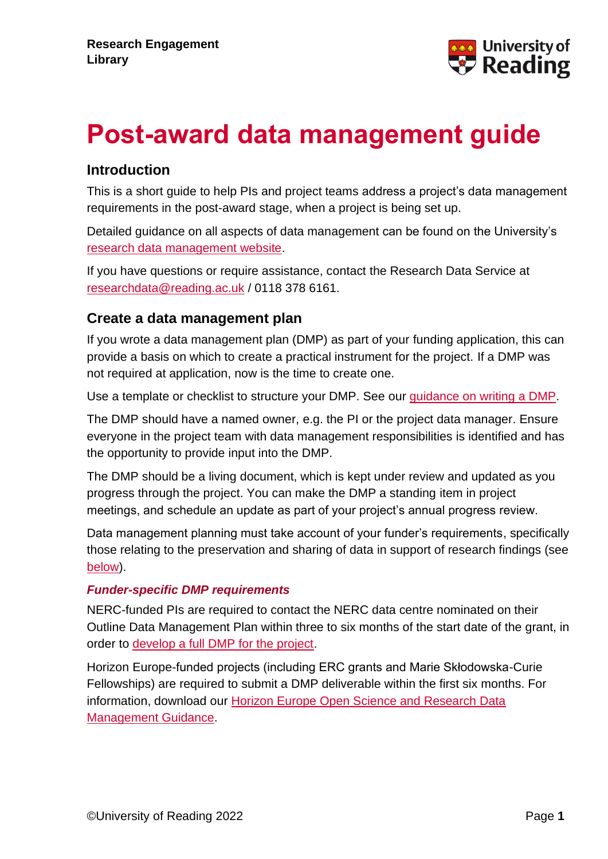

# **Post-award data management guide**

#### **Introduction**

This is a short guide to help PIs and project teams address a project's data management requirements in the post-award stage, when a project is being set up.

Detailed guidance on all aspects of data management can be found on the University's [research data management website.](https://www.reading.ac.uk/research-services/research-data-management)

If you have questions or require assistance, contact the Research Data Service at [researchdata@reading.ac.uk](mailto:researchdata@reading.ac.uk) / 0118 378 6161.

#### **Create a data management plan**

If you wrote a data management plan (DMP) as part of your funding application, this can provide a basis on which to create a practical instrument for the project. If a DMP was not required at application, now is the time to create one.

Use a template or checklist to structure your DMP. See our [guidance on writing a DMP.](https://www.reading.ac.uk/research-services/research-data-management/data-management-planning/writing-a-data-management-plan)

The DMP should have a named owner, e.g. the PI or the project data manager. Ensure everyone in the project team with data management responsibilities is identified and has the opportunity to provide input into the DMP.

The DMP should be a living document, which is kept under review and updated as you progress through the project. You can make the DMP a standing item in project meetings, and schedule an update as part of your project's annual progress review.

Data management planning must take account of your funder's requirements, specifically those relating to the preservation and sharing of data in support of research findings (see [below\)](#page-1-0).

#### *Funder-specific DMP requirements*

NERC-funded PIs are required to contact the NERC data centre nominated on their Outline Data Management Plan within three to six months of the start date of the grant, in order to [develop a full DMP for the project.](https://nerc.ukri.org/research/sites/environmental-data-service-eds/dmp/)

Horizon Europe-funded projects (including ERC grants and Marie Skłodowska-Curie Fellowships) are required to submit a DMP deliverable within the first six months. For information, download our [Horizon Europe Open Science and Research Data](https://www.reading.ac.uk/research-services/research-data-management/data-management-planning/writing-a-dmp-for-a-grant-application)  [Management Guidance.](https://www.reading.ac.uk/research-services/research-data-management/data-management-planning/writing-a-dmp-for-a-grant-application)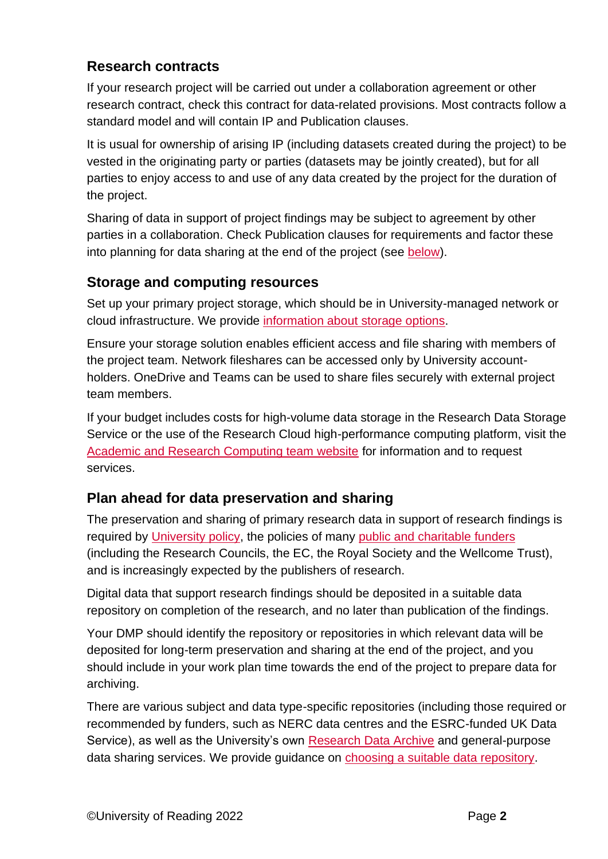# **Research contracts**

If your research project will be carried out under a collaboration agreement or other research contract, check this contract for data-related provisions. Most contracts follow a standard model and will contain IP and Publication clauses.

It is usual for ownership of arising IP (including datasets created during the project) to be vested in the originating party or parties (datasets may be jointly created), but for all parties to enjoy access to and use of any data created by the project for the duration of the project.

Sharing of data in support of project findings may be subject to agreement by other parties in a collaboration. Check Publication clauses for requirements and factor these into planning for data sharing at the end of the project (see [below\)](#page-1-0).

# **Storage and computing resources**

Set up your primary project storage, which should be in University-managed network or cloud infrastructure. We provide [information about storage options.](https://www.reading.ac.uk/research-services/research-data-management/managing-your-data/data-storage)

Ensure your storage solution enables efficient access and file sharing with members of the project team. Network fileshares can be accessed only by University accountholders. OneDrive and Teams can be used to share files securely with external project team members.

If your budget includes costs for high-volume data storage in the Research Data Storage Service or the use of the Research Cloud high-performance computing platform, visit the [Academic and Research Computing team website](https://research.reading.ac.uk/act/knowledgebase/) for information and to request services.

# <span id="page-1-0"></span>**Plan ahead for data preservation and sharing**

The preservation and sharing of primary research data in support of research findings is required by [University policy,](https://www.reading.ac.uk/research-services/research-data-management/about-research-data-management/research-data-management-policy) the policies of many [public and charitable funders](https://www.reading.ac.uk/research-services/research-data-management/about-research-data-management/funders-research-data-policies) (including the Research Councils, the EC, the Royal Society and the Wellcome Trust), and is increasingly expected by the publishers of research.

Digital data that support research findings should be deposited in a suitable data repository on completion of the research, and no later than publication of the findings.

Your DMP should identify the repository or repositories in which relevant data will be deposited for long-term preservation and sharing at the end of the project, and you should include in your work plan time towards the end of the project to prepare data for archiving.

There are various subject and data type-specific repositories (including those required or recommended by funders, such as NERC data centres and the ESRC-funded UK Data Service), as well as the University's own [Research Data Archive](https://www.reading.ac.uk/research-services/research-data-management/preserving-and-sharing-data/uor-research-data-archive) and general-purpose data sharing services. We provide guidance on [choosing a suitable data repository.](https://www.reading.ac.uk/research-services/research-data-management/preserving-and-sharing-data/choosing-a-data-repository)